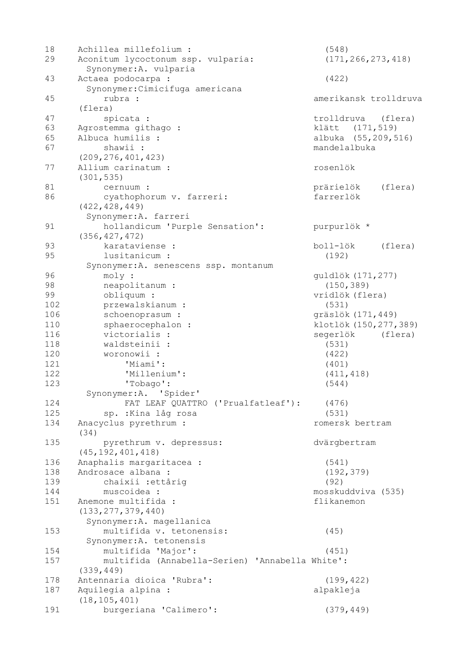| 18  | Achillea millefolium :                                       | (548)                   |         |
|-----|--------------------------------------------------------------|-------------------------|---------|
| 29  | Aconitum lycoctonum ssp. vulparia:<br>Synonymer: A. vulparia | (171, 266, 273, 418)    |         |
|     |                                                              |                         |         |
| 43  | Actaea podocarpa :                                           | (422)                   |         |
|     | Synonymer: Cimicifuga americana                              |                         |         |
| 45  | rubra :                                                      | amerikansk trolldruva   |         |
|     | (flera)                                                      |                         |         |
| 47  | spicata :                                                    | trolldruva              | (flera) |
| 63  | Agrostemma githago :                                         | klätt (171,519)         |         |
| 65  | Albuca humilis :                                             | albuka (55,209,516)     |         |
| 67  | shawii :                                                     | mandelalbuka            |         |
|     | (209, 276, 401, 423)                                         |                         |         |
| 77  | Allium carinatum :                                           | rosenlök                |         |
|     | (301, 535)                                                   |                         |         |
| 81  | cernuum :                                                    | prärielök               | (flera) |
| 86  | cyathophorum v. farreri:                                     | farrerlök               |         |
|     | (422, 428, 449)                                              |                         |         |
|     | Synonymer: A. farreri                                        |                         |         |
|     |                                                              |                         |         |
| 91  | hollandicum 'Purple Sensation':                              | purpurlök *             |         |
|     | (356, 427, 472)                                              |                         |         |
| 93  | karataviense :                                               | boll-lök                | (flera) |
| 95  | lusitanicum :                                                | (192)                   |         |
|     | Synonymer: A. senescens ssp. montanum                        |                         |         |
| 96  | moly:                                                        | guldlök (171,277)       |         |
| 98  | neapolitanum :                                               | (150, 389)              |         |
| 99  | obliquum :                                                   | vridlök (flera)         |         |
| 102 | przewalskianum :                                             | (531)                   |         |
| 106 | schoenoprasum :                                              | gräslök (171,449)       |         |
| 110 | sphaerocephalon :                                            | klotlök (150, 277, 389) |         |
| 116 | victorialis :                                                | segerlök                | (flera) |
| 118 | waldsteinii :                                                | (531)                   |         |
| 120 | woronowii :                                                  | (422)                   |         |
| 121 | 'Miami':                                                     | (401)                   |         |
| 122 | 'Millenium':                                                 |                         |         |
|     |                                                              | (411, 418)              |         |
| 123 | 'Tobago':                                                    | (544)                   |         |
|     | Synonymer:A. 'Spider'                                        |                         |         |
| 124 | FAT LEAF QUATTRO ('Prualfatleaf'):                           | (476)                   |         |
| 125 | sp. : Kina låg rosa                                          | (531)                   |         |
| 134 | Anacyclus pyrethrum :                                        | romersk bertram         |         |
|     | (34)                                                         |                         |         |
| 135 | pyrethrum v. depressus:                                      | dvärgbertram            |         |
|     | (45, 192, 401, 418)                                          |                         |         |
| 136 | Anaphalis margaritacea :                                     | (541)                   |         |
| 138 | Androsace albana :                                           | (192, 379)              |         |
| 139 | chaixii : ettårig                                            | (92)                    |         |
| 144 | muscoidea :                                                  | mosskuddviva (535)      |         |
| 151 | Anemone multifida :                                          | flikanemon              |         |
|     | (133, 277, 379, 440)                                         |                         |         |
|     | Synonymer: A. magellanica                                    |                         |         |
| 153 | multifida v. tetonensis:                                     | (45)                    |         |
|     |                                                              |                         |         |
|     | Synonymer: A. tetonensis                                     |                         |         |
| 154 | multifida 'Major':                                           | (451)                   |         |
| 157 | multifida (Annabella-Serien) 'Annabella White':              |                         |         |
|     | (339, 449)                                                   |                         |         |
| 178 | Antennaria dioica 'Rubra':                                   | (199, 422)              |         |
| 187 | Aquilegia alpina :                                           | alpakleja               |         |
|     | (18, 105, 401)                                               |                         |         |
| 191 | burgeriana 'Calimero':                                       | (379, 449)              |         |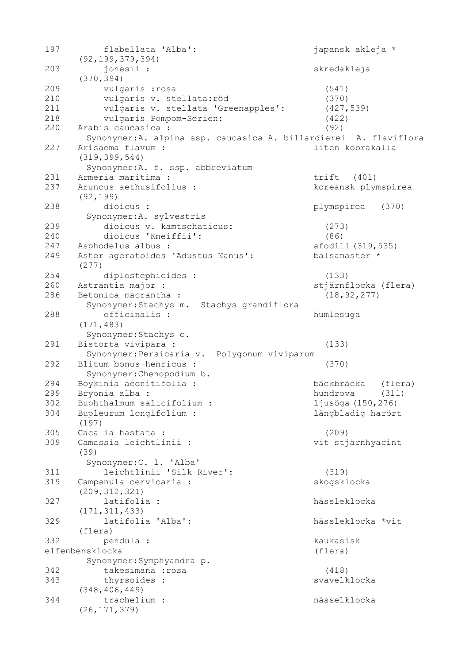| 197 | flabellata 'Alba':<br>(92, 199, 379, 394)                                                                 | japansk akleja *      |
|-----|-----------------------------------------------------------------------------------------------------------|-----------------------|
| 203 | jonesii :<br>(370, 394)                                                                                   | skredakleja           |
| 209 | vulgaris : rosa                                                                                           | (541)                 |
| 210 | vulgaris v. stellata: röd                                                                                 | (370)                 |
| 211 | vulgaris v. stellata 'Greenapples':                                                                       | (427, 539)            |
| 218 |                                                                                                           |                       |
|     | vulgaris Pompom-Serien:                                                                                   | (422)                 |
| 220 | Arabis caucasica :                                                                                        | (92)                  |
| 227 | Synonymer: A. alpina ssp. caucasica A. billardierei A. flaviflora<br>Arisaema flavum :<br>(319, 399, 544) | liten kobrakalla      |
|     | Synonymer: A. f. ssp. abbreviatum                                                                         |                       |
| 231 | Armeria maritima :                                                                                        | trift<br>(401)        |
| 237 | Aruncus aethusifolius :<br>(92, 199)                                                                      | koreansk plymspirea   |
| 238 | dioicus :                                                                                                 | plymspirea<br>(370)   |
|     | Synonymer: A. sylvestris                                                                                  |                       |
| 239 | dioicus v. kamtschaticus:                                                                                 | (273)                 |
| 240 | dioicus 'Kneiffii':                                                                                       | (86)                  |
| 247 | Asphodelus albus :                                                                                        | afodill (319,535)     |
| 249 | Aster ageratoides 'Adustus Nanus':                                                                        | balsamaster *         |
|     | (277)                                                                                                     |                       |
| 254 | diplostephioides :                                                                                        | (133)                 |
| 260 | Astrantia major :                                                                                         | stjärnflocka (flera)  |
| 286 | Betonica macrantha :                                                                                      | (18, 92, 277)         |
| 288 | Synonymer: Stachys m. Stachys grandiflora<br>officinalis :                                                | humlesuga             |
|     | (171, 483)<br>Synonymer: Stachys o.                                                                       |                       |
| 291 |                                                                                                           | (133)                 |
|     | Bistorta vivipara :                                                                                       |                       |
|     | Synonymer: Persicaria v. Polygonum viviparum                                                              |                       |
| 292 | Blitum bonus-henricus :                                                                                   | (370)                 |
|     | Synonymer: Chenopodium b.                                                                                 |                       |
| 294 | Boykinia aconitifolia :                                                                                   | bäckbräcka<br>(flera) |
| 299 | Bryonia alba :                                                                                            | hundrova<br>(311)     |
| 302 | Buphthalmum salicifolium :                                                                                | ljusöga (150,276)     |
| 304 | Bupleurum longifolium :<br>(197)                                                                          | långbladig harört     |
| 305 | Cacalia hastata :                                                                                         | (209)                 |
| 309 | Camassia leichtlinii :                                                                                    | vit stjärnhyacint     |
|     | (39)<br>Synonymer: C. 1. 'Alba'                                                                           |                       |
| 311 | leichtlinii 'Silk River':                                                                                 | (319)                 |
| 319 |                                                                                                           | skogsklocka           |
|     | Campanula cervicaria :                                                                                    |                       |
|     | (209, 312, 321)                                                                                           |                       |
| 327 | latifolia :                                                                                               | hässleklocka          |
|     | (171, 311, 433)                                                                                           |                       |
| 329 | latifolia 'Alba':                                                                                         | hässleklocka *vit     |
|     | (flera)                                                                                                   |                       |
| 332 | pendula :                                                                                                 | kaukasisk             |
|     | elfenbensklocka                                                                                           | (flera)               |
|     | Synonymer: Symphyandra p.                                                                                 |                       |
| 342 | takesimana : rosa                                                                                         | (418)                 |
| 343 | thyrsoides :                                                                                              | svavelklocka          |
|     | (348, 406, 449)                                                                                           |                       |
| 344 | trachelium :                                                                                              | nässelklocka          |
|     | (26, 171, 379)                                                                                            |                       |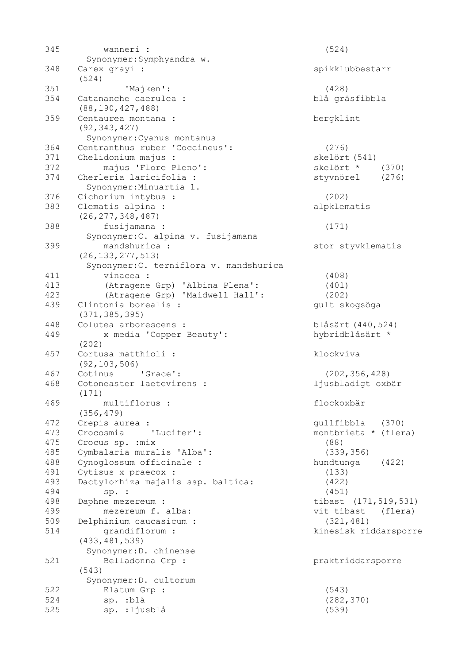| 345 | wanneri :                                    | (524)                  |
|-----|----------------------------------------------|------------------------|
|     | Synonymer: Symphyandra w.                    |                        |
| 348 | Carex grayi :                                | spikklubbestarr        |
|     | (524)                                        |                        |
| 351 | 'Majken':                                    | (428)                  |
| 354 | Catananche caerulea :<br>(88, 190, 427, 488) | blå gräsfibbla         |
| 359 | Centaurea montana :                          | bergklint              |
|     | (92, 343, 427)                               |                        |
|     | Synonymer: Cyanus montanus                   |                        |
| 364 | Centranthus ruber 'Coccineus':               | (276)                  |
| 371 | Chelidonium majus :                          | skelört (541)          |
| 372 | majus 'Flore Pleno':                         | skelört *<br>(370)     |
| 374 | Cherleria laricifolia :                      | styvnörel<br>(276)     |
|     | Synonymer: Minuartia 1.                      |                        |
| 376 | Cichorium intybus :                          | (202)                  |
| 383 | Clematis alpina :                            | alpklematis            |
|     | (26, 277, 348, 487)                          |                        |
| 388 | fusijamana :                                 | (171)                  |
|     | Synonymer: C. alpina v. fusijamana           |                        |
| 399 | mandshurica :                                | stor styvklematis      |
|     | (26, 133, 277, 513)                          |                        |
|     | Synonymer: C. terniflora v. mandshurica      |                        |
| 411 | vinacea :                                    | (408)                  |
| 413 |                                              |                        |
|     | (Atragene Grp) 'Albina Plena':               | (401)                  |
| 423 | (Atragene Grp) 'Maidwell Hall':              | (202)                  |
| 439 | Clintonia borealis :                         | gult skogsöga          |
|     | (371, 385, 395)                              |                        |
| 448 | Colutea arborescens :                        | blåsärt (440,524)      |
| 449 | x media 'Copper Beauty':                     | hybridblåsärt *        |
|     | (202)                                        |                        |
| 457 | Cortusa matthioli :                          | klockviva              |
|     | (92, 103, 506)                               |                        |
| 467 | Cotinus 'Grace':                             | (202, 356, 428)        |
| 468 | Cotoneaster laetevirens :                    | ljusbladigt oxbär      |
|     | (171)                                        |                        |
| 469 | multiflorus :                                | flockoxbär             |
|     | (356, 479)                                   |                        |
| 472 | Crepis aurea :                               | gullfibbla<br>(370)    |
| 473 | Crocosmia<br>'Lucifer':                      | montbrieta * (flera)   |
| 475 | Crocus sp. : mix                             | (88)                   |
| 485 | Cymbalaria muralis 'Alba':                   | (339, 356)             |
| 488 | Cynoglossum officinale :                     | hundtunga<br>(422)     |
| 491 | Cytisus x praecox :                          | (133)                  |
| 493 | Dactylorhiza majalis ssp. baltica:           | (422)                  |
| 494 | sp. :                                        | (451)                  |
| 498 | Daphne mezereum :                            | tibast (171, 519, 531) |
| 499 | mezereum f. alba:                            | vit tibast (flera)     |
| 509 | Delphinium caucasicum :                      | (321, 481)             |
| 514 | grandiflorum :                               | kinesisk riddarsporre  |
|     | (433, 481, 539)                              |                        |
|     | Synonymer: D. chinense                       |                        |
| 521 | Belladonna Grp :                             | praktriddarsporre      |
|     | (543)                                        |                        |
|     | Synonymer: D. cultorum                       |                        |
| 522 | Elatum Grp :                                 | (543)                  |
| 524 | sp. : blå                                    | (282, 370)             |
| 525 | sp. : ljusblå                                | (539)                  |
|     |                                              |                        |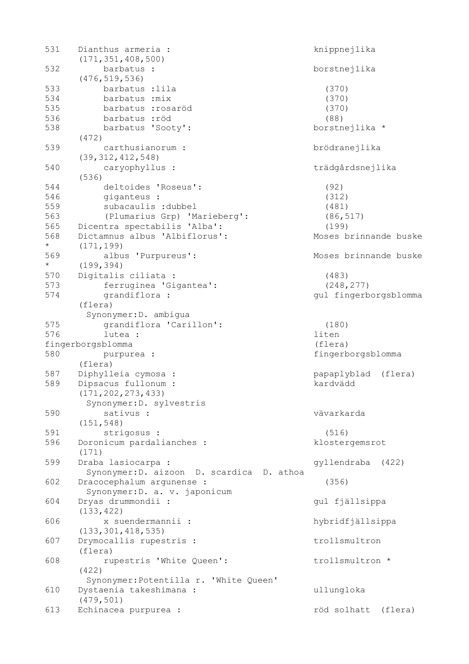| 531     | Dianthus armeria :<br>(171, 351, 408, 500) | knippnejlika           |
|---------|--------------------------------------------|------------------------|
| 532     | barbatus :                                 | borstnejlika           |
|         | (476, 519, 536)                            |                        |
| 533     | barbatus : lila                            | (370)                  |
| 534     | barbatus : mix                             | (370)                  |
| 535     | barbatus : rosaröd                         | (370)                  |
| 536     | barbatus : röd                             | (88)                   |
| 538     | barbatus 'Sooty':                          | borstnejlika *         |
|         | (472)                                      |                        |
| 539     | carthusianorum :                           | brödranejlika          |
|         | (39, 312, 412, 548)                        |                        |
| 540     | caryophyllus :                             | trädgårdsnejlika       |
|         | (536)                                      |                        |
| 544     | deltoides 'Roseus':                        |                        |
|         |                                            | (92)                   |
| 546     | giganteus :                                | (312)                  |
| 559     | subacaulis :dubbel                         | (481)                  |
| 563     | (Plumarius Grp) 'Marieberg':               | (86, 517)              |
| 565     | Dicentra spectabilis 'Alba':               | (199)                  |
| 568     | Dictamnus albus 'Albiflorus':              | Moses brinnande buske  |
| $\star$ | (171, 199)                                 |                        |
| 569     | albus 'Purpureus':                         | Moses brinnande buske  |
| $\star$ | (199, 394)                                 |                        |
| 570     | Digitalis ciliata :                        | (483)                  |
| 573     | ferruginea 'Gigantea':                     | (248, 277)             |
| 574     | grandiflora :                              | gul fingerborgsblomma  |
|         | (flera)                                    |                        |
|         | Synonymer: D. ambigua                      |                        |
| 575     | grandiflora 'Carillon':                    | (180)                  |
| 576     | lutea :                                    | liten                  |
|         | fingerborgsblomma                          | (flera)                |
| 580     | purpurea :                                 | fingerborgsblomma      |
|         | (flera)                                    |                        |
| 587     | Diphylleia cymosa :                        | papaplyblad<br>(flera) |
| 589     | Dipsacus fullonum :                        | kardvädd               |
|         | (171, 202, 273, 433)                       |                        |
|         | Synonymer: D. sylvestris                   |                        |
| 590     | sativus :                                  | vävarkarda             |
|         | (151, 548)                                 |                        |
| 591     | strigosus :                                | (516)                  |
| 596     |                                            | klostergemsrot         |
|         | Doronicum pardalianches :<br>(171)         |                        |
| 599     |                                            |                        |
|         | Draba lasiocarpa :                         | gyllendraba<br>(422)   |
|         | Synonymer: D. aizoon D. scardica D. athoa  |                        |
| 602     | Dracocephalum argunense :                  | (356)                  |
|         | Synonymer: D. a. v. japonicum              |                        |
| 604     | Dryas drummondii :                         | gul fjällsippa         |
|         | (133, 422)                                 |                        |
| 606     | x suendermannii :                          | hybridfjällsippa       |
|         | (133, 301, 418, 535)                       |                        |
| 607     | Drymocallis rupestris :                    | trollsmultron          |
|         | (flera)                                    |                        |
| 608     | rupestris 'White Queen':                   | trollsmultron *        |
|         | (422)                                      |                        |
|         | Synonymer: Potentilla r. 'White Queen'     |                        |
| 610     | Dystaenia takeshimana :                    | ullungloka             |
|         | (479, 501)                                 |                        |
| 613     | Echinacea purpurea :                       | röd solhatt<br>(flera) |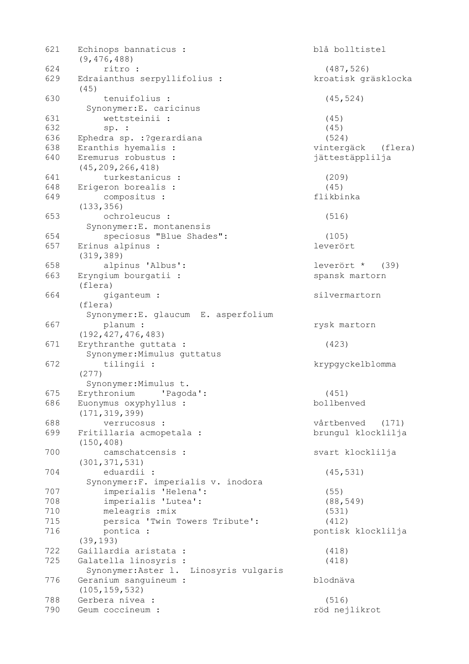| 621 | Echinops bannaticus :<br>(9, 476, 488) | blå bolltistel      |
|-----|----------------------------------------|---------------------|
| 624 | ritro :                                | (487, 526)          |
| 629 | Edraianthus serpyllifolius :<br>(45)   | kroatisk gräsklocka |
| 630 | tenuifolius :                          | (45, 524)           |
|     | Synonymer: E. caricinus                |                     |
| 631 | wettsteinii :                          | (45)                |
| 632 | sp. :                                  | (45)                |
| 636 | Ephedra sp. : ?gerardiana              | (524)               |
| 638 | Eranthis hyemalis :                    | vintergäck (flera)  |
| 640 | Eremurus robustus :                    | jättestäpplilja     |
|     |                                        |                     |
| 641 | (45, 209, 266, 418)                    |                     |
| 648 | turkestanicus :                        | (209)               |
|     | Erigeron borealis :                    | (45)                |
| 649 | compositus :<br>(133, 356)             | flikbinka           |
| 653 | ochroleucus :                          | (516)               |
|     | Synonymer: E. montanensis              |                     |
| 654 | speciosus "Blue Shades":               | (105)               |
| 657 | Erinus alpinus :                       | leverört            |
|     | (319, 389)                             |                     |
| 658 | alpinus 'Albus':                       | leverört *<br>(39)  |
| 663 | Eryngium bourgatii :<br>(flera)        | spansk martorn      |
| 664 | giganteum :                            | silvermartorn       |
|     | (flera)                                |                     |
|     | Synonymer: E. glaucum E. asperfolium   |                     |
| 667 | planum :                               | rysk martorn        |
|     | (192, 427, 476, 483)                   |                     |
| 671 | Erythranthe guttata :                  | (423)               |
|     | Synonymer: Mimulus guttatus            |                     |
| 672 | tilingii :                             | krypgyckelblomma    |
|     | (277)                                  |                     |
|     | Synonymer: Mimulus t.                  |                     |
| 675 | Erythronium<br>'Pagoda':               | (451)               |
| 686 | Euonymus oxyphyllus :                  | bollbenved          |
|     | (171, 319, 399)                        |                     |
| 688 | verrucosus :                           | vårtbenved<br>(171) |
| 699 | Fritillaria acmopetala :               | brungul klocklilja  |
|     | (150, 408)                             |                     |
| 700 | camschatcensis :                       | svart klocklilja    |
|     | (301, 371, 531)                        |                     |
| 704 | eduardii :                             | (45, 531)           |
|     | Synonymer: F. imperialis v. inodora    |                     |
| 707 | imperialis 'Helena':                   | (55)                |
| 708 | imperialis 'Lutea':                    | (88, 549)           |
| 710 | meleagris : mix                        | (531)               |
| 715 | persica 'Twin Towers Tribute':         | (412)               |
| 716 | pontica :<br>(39, 193)                 | pontisk klocklilja  |
| 722 | Gaillardia aristata :                  | (418)               |
| 725 | Galatella linosyris :                  | (418)               |
|     | Synonymer: Aster 1. Linosyris vulgaris |                     |
| 776 | Geranium sanguineum :                  | blodnäva            |
|     | (105, 159, 532)                        |                     |
| 788 | Gerbera nivea :                        | (516)               |
| 790 | Geum coccineum :                       | röd nejlikrot       |
|     |                                        |                     |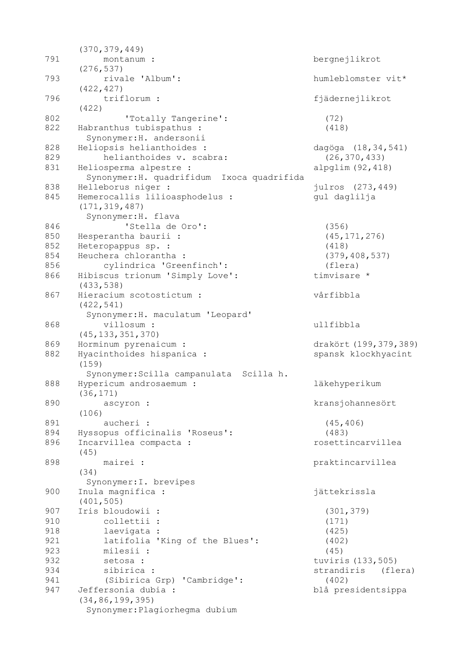|     | (370, 379, 449)                            |                       |
|-----|--------------------------------------------|-----------------------|
| 791 | montanum :                                 | bergnejlikrot         |
|     | (276, 537)                                 |                       |
| 793 | rivale 'Album':                            | humleblomster vit*    |
|     | (422, 427)                                 |                       |
| 796 | triflorum :                                | fjädernejlikrot       |
|     | (422)                                      |                       |
| 802 | 'Totally Tangerine':                       | (72)                  |
| 822 | Habranthus tubispathus :                   | (418)                 |
|     | Synonymer: H. andersonii                   |                       |
| 828 | Heliopsis helianthoides :                  | dagöga (18,34,541)    |
| 829 | helianthoides v. scabra:                   | (26, 370, 433)        |
| 831 | Heliosperma alpestre :                     | alpglim $(92, 418)$   |
|     | Synonymer: H. quadrifidum Ixoca quadrifida |                       |
| 838 | Helleborus niger :                         | julros (273,449)      |
| 845 | Hemerocallis lilioasphodelus :             | gul daglilja          |
|     | (171, 319, 487)                            |                       |
|     | Synonymer: H. flava                        |                       |
| 846 | 'Stella de Oro':                           | (356)                 |
| 850 | Hesperantha baurii :                       | (45, 171, 276)        |
| 852 | Heteropappus sp. :                         | (418)                 |
| 854 | Heuchera chlorantha :                      | (379, 408, 537)       |
| 856 | cylindrica 'Greenfinch':                   | (flera)               |
| 866 | Hibiscus trionum 'Simply Love':            | timvisare *           |
|     | (433, 538)                                 |                       |
| 867 | Hieracium scotostictum :                   | vårfibbla             |
|     | (422, 541)                                 |                       |
|     | Synonymer: H. maculatum 'Leopard'          |                       |
| 868 | villosum :                                 | ullfibbla             |
|     | (45, 133, 351, 370)                        |                       |
| 869 | Horminum pyrenaicum :                      | drakört (199,379,389) |
| 882 | Hyacinthoides hispanica :                  | spansk klockhyacint   |
|     | (159)                                      |                       |
|     | Synonymer: Scilla campanulata Scilla h.    |                       |
| 888 | Hypericum androsaemum :                    | läkehyperikum         |
|     | (36, 171)                                  |                       |
| 890 | ascyron :                                  | kransjohannesört      |
|     | (106)                                      |                       |
| 891 | aucheri :                                  | (45, 406)             |
| 894 | Hyssopus officinalis 'Roseus':             | (483)                 |
| 896 | Incarvillea compacta :                     | rosettincarvillea     |
|     | (45)                                       |                       |
| 898 | mairei :                                   | praktincarvillea      |
|     | (34)                                       |                       |
|     | Synonymer: I. brevipes                     |                       |
| 900 | Inula magnifica :                          | jättekrissla          |
|     | (401, 505)                                 |                       |
| 907 | Iris bloudowii :                           | (301, 379)            |
| 910 | collettii :                                | (171)                 |
| 918 | laevigata :                                | (425)                 |
| 921 | latifolia 'King of the Blues':             | (402)                 |
| 923 | milesii :                                  | (45)                  |
| 932 | setosa :                                   | tuviris (133,505)     |
| 934 | sibirica :                                 | strandiris<br>(flera) |
| 941 | (Sibirica Grp) 'Cambridge':                | (402)                 |
| 947 | Jeffersonia dubia :                        | blå presidentsippa    |
|     | (34, 86, 199, 395)                         |                       |
|     | Synonymer: Plagiorhegma dubium             |                       |
|     |                                            |                       |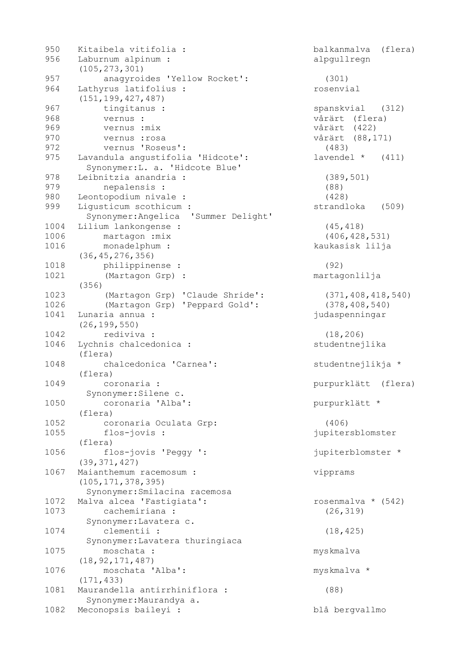| 950<br>956 | Kitaibela vitifolia :<br>Laburnum alpinum :<br>(105, 273, 301)       | balkanmalva<br>(flera)<br>alpgullregn |
|------------|----------------------------------------------------------------------|---------------------------------------|
| 957        | anagyroides 'Yellow Rocket':                                         | (301)                                 |
| 964        | Lathyrus latifolius :<br>(151, 199, 427, 487)                        | rosenvial                             |
| 967        | tingitanus :                                                         | spanskvial<br>(312)                   |
| 968        | vernus :                                                             | vårärt (flera)                        |
| 969        | vernus : mix                                                         | vårärt (422)                          |
| 970        | vernus : rosa                                                        | vårärt (88,171)                       |
| 972        | vernus 'Roseus':                                                     | (483)                                 |
|            |                                                                      |                                       |
| 975        | Lavandula angustifolia 'Hidcote':<br>Synonymer: L. a. 'Hidcote Blue' | lavendel *<br>(411)                   |
| 978        | Leibnitzia anandria :                                                | (389, 501)                            |
| 979        | nepalensis :                                                         | (88)                                  |
| 980        | Leontopodium nivale :                                                | (428)                                 |
| 999        | Liqusticum scothicum :                                               | strandloka                            |
|            |                                                                      | (509)                                 |
|            | Synonymer: Angelica 'Summer Delight'                                 |                                       |
| 1004       | Lilium lankongense :                                                 | (45, 418)                             |
| 1006       | martagon : mix                                                       | (406, 428, 531)                       |
| 1016       | monadelphum :                                                        | kaukasisk lilja                       |
|            | (36, 45, 276, 356)                                                   |                                       |
| 1018       | philippinense :                                                      | (92)                                  |
| 1021       | (Martagon Grp) :                                                     | martagonlilja                         |
|            | (356)                                                                |                                       |
| 1023       | (Martagon Grp) 'Claude Shride':                                      | (371, 408, 418, 540)                  |
| 1026       | (Martagon Grp) 'Peppard Gold':                                       | (378, 408, 540)                       |
| 1041       | Lunaria annua :                                                      | judaspenningar                        |
|            | (26, 199, 550)                                                       |                                       |
| 1042       | rediviva :                                                           | (18, 206)                             |
| 1046       | Lychnis chalcedonica :                                               | studentnejlika                        |
|            | (flera)                                                              |                                       |
| 1048       | chalcedonica 'Carnea':                                               | studentnejlikja *                     |
|            | (flera)                                                              |                                       |
| 1049       | coronaria :                                                          | purpurklätt<br>(flera)                |
|            | Synonymer: Silene c.                                                 |                                       |
| 1050       | coronaria 'Alba':                                                    | purpurklätt *                         |
|            | (flera)                                                              |                                       |
| 1052       | coronaria Oculata Grp:                                               | (406)                                 |
| 1055       | flos-jovis :                                                         | jupitersblomster                      |
|            | (flera)                                                              |                                       |
| 1056       | flos-jovis 'Peggy ':                                                 | jupiterblomster *                     |
|            | (39, 371, 427)                                                       |                                       |
| 1067       | Maianthemum racemosum :                                              | vipprams                              |
|            | (105, 171, 378, 395)                                                 |                                       |
|            |                                                                      |                                       |
| 1072       | Synonymer: Smilacina racemosa                                        |                                       |
|            | Malva alcea 'Fastigiata':                                            | rosenmalva $\star$ (542)              |
| 1073       | cachemiriana :                                                       | (26, 319)                             |
|            | Synonymer: Lavatera c.                                               |                                       |
| 1074       | clementii :                                                          | (18, 425)                             |
|            | Synonymer: Lavatera thuringiaca                                      |                                       |
| 1075       | moschata :                                                           | myskmalva                             |
|            | (18, 92, 171, 487)                                                   |                                       |
| 1076       | moschata 'Alba':                                                     | myskmalva *                           |
|            | (171, 433)                                                           |                                       |
| 1081       | Maurandella antirrhiniflora :                                        | (88)                                  |
|            | Synonymer: Maurandya a.                                              |                                       |
| 1082       | Meconopsis baileyi :                                                 | blå bergvallmo                        |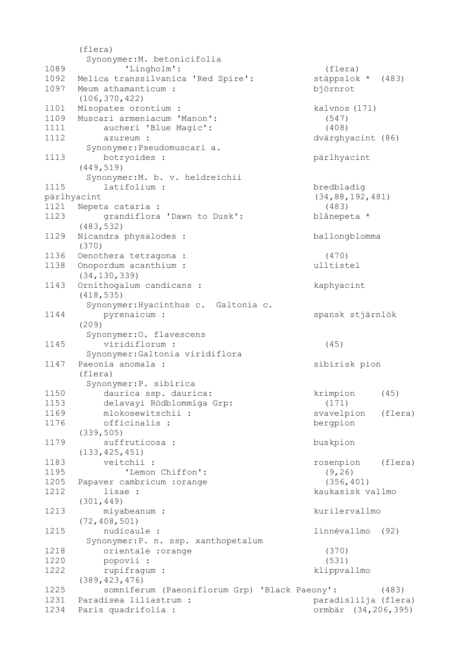(flera) Synonymer:M. betonicifolia 1089 'Lingholm': (flera) 1092 Melica transsilvanica 'Red Spire': stäppslok \* (483) 1097 Meum athamanticum : björnrot (106,370,422) 1101 Misopates orontium : kalvnos (171) 1109 Muscari armeniacum 'Manon': (547) 1111 aucheri 'Blue Magic': (408) 1112 azureum : dvärghyacint (86) Synonymer:Pseudomuscari a. 1113 botryoides : pärlhyacint (449,519) Synonymer:M. b. v. heldreichii 1115 latifolium : bredbladig pärlhyacint (34,88,192,481) 1121 Nepeta cataria : (483) 1123 grandiflora 'Dawn to Dusk': blånepeta \* (483,532) 1129 Nicandra physalodes : ballongblomma (370) 1136 Oenothera tetragona : (470) 1138 Onopordum acanthium : ulltistel (34,130,339) 1143 Ornithogalum candicans : kaphyacint (418,535) Synonymer:Hyacinthus c. Galtonia c. 1144 pyrenaicum: spansk stjärnlök (209) Synonymer:O. flavescens 1145 viridiflorum : (45) Synonymer:Galtonia viridiflora 1147 Paeonia anomala : sibirisk pion (flera) Synonymer:P. sibirica 1150 daurica ssp. daurica: krimpion (45) 1153 delavayi Rödblommiga Grp: (171) 1169 mlokosewitschii : svavelpion (flera) 1176 officinalis : bergpion (339,505) 1179 suffruticosa : buskpion (133,425,451) 1183 veitchii : rosenpion (flera) 1195 'Lemon Chiffon': (9,26) 1205 Papaver cambricum :orange (356,401) 1212 lisae : kaukasisk vallmo (301,449) 1213 miyabeanum : kurilervallmo (72,408,501) 1215 nudicaule : linnévallmo (92) Synonymer:P. n. ssp. xanthopetalum 1218 orientale :orange (370) 1220 popovii : (531) 1222 rupifragum : klippvallmo (389,423,476) 1225 somniferum (Paeoniflorum Grp) 'Black Paeony': (483) 1231 Paradisea liliastrum : paradislilja (flera) 1234 Paris quadrifolia : ormbär (34,206,395)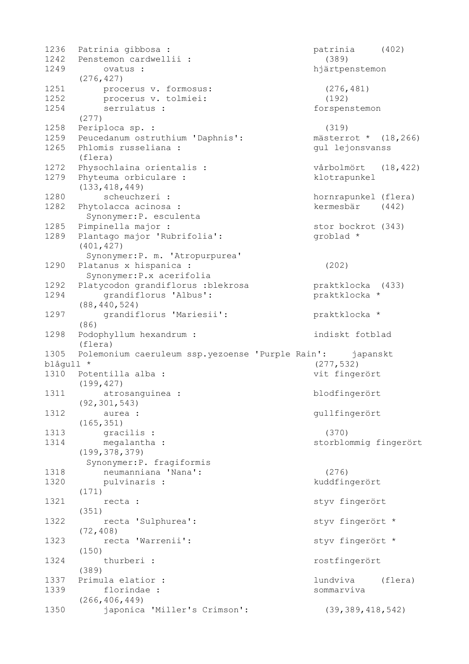1236 Patrinia gibbosa : patrinia (402) 1242 Penstemon cardwellii : (389) 1249 ovatus : hjärtpenstemon (276,427) 1251 procerus v. formosus: (276,481) 1252 procerus v. tolmiei: (192) 1254 serrulatus : forspenstemon (277) 1258 Periploca sp. : (319) 1259 Peucedanum ostruthium 'Daphnis': mästerrot \* (18,266) 1265 Phlomis russeliana : gul lejonsvanss (flera) 1272 Physochlaina orientalis : vårbolmört (18,422) 1279 Phyteuma orbiculare : klotrapunkel (133,418,449) 1280 scheuchzeri : hornrapunkel (flera) 1282 Phytolacca acinosa : kermesbär (442) Synonymer:P. esculenta 1285 Pimpinella major : stor bockrot (343) 1289 Plantago major 'Rubrifolia': groblad \* (401,427) Synonymer:P. m. 'Atropurpurea' 1290 Platanus x hispanica : (202) Synonymer:P.x acerifolia 1292 Platycodon grandiflorus : blekrosa braktklocka (433) 1294 grandiflorus 'Albus': praktklocka \* (88,440,524) 1297 grandiflorus 'Mariesii': praktklocka \* (86) 1298 Podophyllum hexandrum : indiskt fotblad (flera) 1305 Polemonium caeruleum ssp.yezoense 'Purple Rain': japanskt blågull \* (277,532) 1310 Potentilla alba : vit fingerört (199,427) 1311 atrosanguinea : blodfingerört (92,301,543) 1312 aurea : George automatique de la propone de la participation de la propone de la propone de la propone de (165,351) 1313 gracilis : (370) 1314 megalantha : storblommig fingerört (199,378,379) Synonymer:P. fragiformis 1318 neumanniana 'Nana': (276) 1320 pulvinaris : kuddfingerört (171) 1321 recta : styv fingerört (351) 1322 recta 'Sulphurea': styv fingerört \* (72,408) 1323 recta 'Warrenii': styv fingerört \* (150) 1324 thurberi : rostfingerört (389) 1337 Primula elatior : lundviva (flera) 1339 florindae : sommarviva (266,406,449) 1350 japonica 'Miller's Crimson': (39,389,418,542)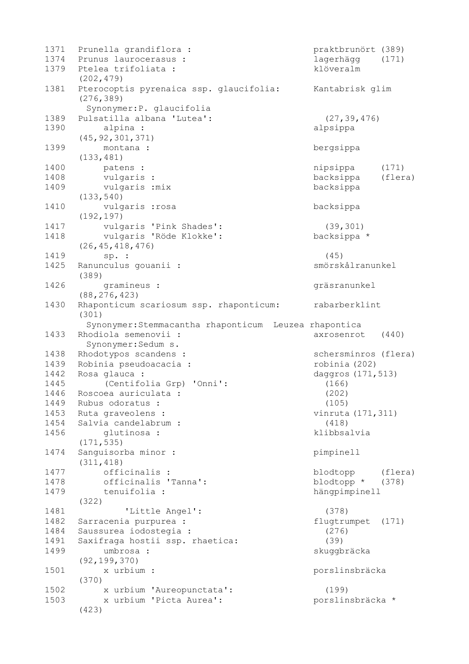| 1371 | Prunella grandiflora :                                | praktbrunört (389)   |         |
|------|-------------------------------------------------------|----------------------|---------|
| 1374 | Prunus laurocerasus :                                 | lagerhägg            | (171)   |
| 1379 | Ptelea trifoliata :<br>(202, 479)                     | klöveralm            |         |
| 1381 | Pterocoptis pyrenaica ssp. glaucifolia:<br>(276, 389) | Kantabrisk glim      |         |
|      | Synonymer: P. glaucifolia                             |                      |         |
| 1389 | Pulsatilla albana 'Lutea':                            | (27, 39, 476)        |         |
| 1390 | alpina :                                              | alpsippa             |         |
|      | (45, 92, 301, 371)                                    |                      |         |
| 1399 | montana :                                             | bergsippa            |         |
|      | (133, 481)                                            |                      |         |
| 1400 | patens :                                              | nipsippa             | (171)   |
| 1408 | vulgaris :                                            | backsippa            | (flera) |
| 1409 | vulgaris : mix                                        | backsippa            |         |
|      | (133, 540)                                            |                      |         |
| 1410 | vulgaris : rosa                                       | backsippa            |         |
|      | (192, 197)                                            |                      |         |
| 1417 | vulgaris 'Pink Shades':                               | (39, 301)            |         |
| 1418 | vulgaris 'Röde Klokke':                               | backsippa *          |         |
|      | (26, 45, 418, 476)                                    |                      |         |
| 1419 | sp. :                                                 | (45)                 |         |
| 1425 | Ranunculus gouanii :<br>(389)                         | smörskålranunkel     |         |
| 1426 | gramineus :                                           | gräsranunkel         |         |
|      | (88, 276, 423)                                        |                      |         |
| 1430 | Rhaponticum scariosum ssp. rhaponticum:<br>(301)      | rabarberklint        |         |
|      | Synonymer: Stemmacantha rhaponticum Leuzea rhapontica |                      |         |
| 1433 | Rhodiola semenovii :                                  | axrosenrot           | (440)   |
|      | Synonymer: Sedum s.                                   |                      |         |
| 1438 | Rhodotypos scandens :                                 | schersminros (flera) |         |
| 1439 | Robinia pseudoacacia :                                | robinia (202)        |         |
| 1442 | Rosa glauca :                                         | daggros (171, 513)   |         |
| 1445 | (Centifolia Grp) 'Onni':                              | (166)                |         |
| 1446 | Roscoea auriculata :                                  | (202)                |         |
| 1449 | Rubus odoratus :                                      | (105)                |         |
| 1453 | Ruta graveolens :                                     | vinruta (171, 311)   |         |
| 1454 | Salvia candelabrum :                                  | (418)                |         |
| 1456 | glutinosa :<br>(171, 535)                             | klibbsalvia          |         |
| 1474 | Sanguisorba minor :                                   | pimpinell            |         |
|      | (311, 418)                                            |                      |         |
| 1477 | officinalis :                                         | blodtopp             | (flera) |
| 1478 | officinalis 'Tanna':                                  | blodtopp *           | (378)   |
| 1479 | tenuifolia :                                          | hängpimpinell        |         |
|      | (322)                                                 |                      |         |
| 1481 | 'Little Angel':                                       | (378)                |         |
| 1482 | Sarracenia purpurea :                                 | flugtrumpet          | (171)   |
| 1484 | Saussurea iodostegia :                                | (276)                |         |
| 1491 | Saxifraga hostii ssp. rhaetica:                       | (39)                 |         |
| 1499 | umbrosa :                                             | skuggbräcka          |         |
|      | (92, 199, 370)                                        |                      |         |
| 1501 | x urbium :                                            | porslinsbräcka       |         |
|      | (370)                                                 |                      |         |
| 1502 | x urbium 'Aureopunctata':                             | (199)                |         |
| 1503 | x urbium 'Picta Aurea':                               | porslinsbräcka *     |         |
|      | (423)                                                 |                      |         |
|      |                                                       |                      |         |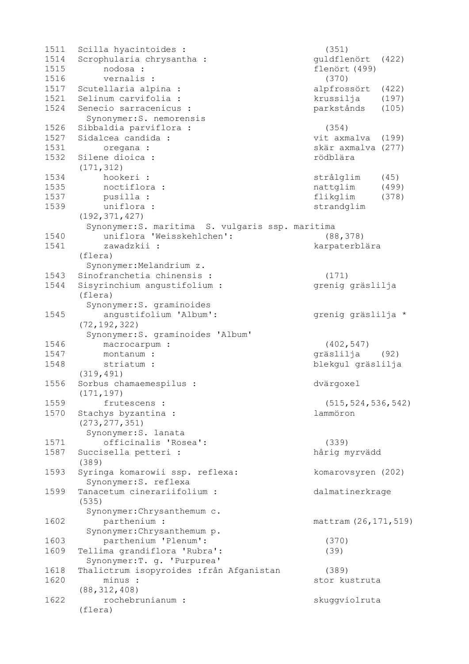| 1511 | Scilla hyacintoides :                            | (351)                  |
|------|--------------------------------------------------|------------------------|
| 1514 | Scrophularia chrysantha :                        | guldflenört<br>(422)   |
| 1515 | nodosa :                                         | flenört (499)          |
| 1516 | vernalis :                                       | (370)                  |
| 1517 | Scutellaria alpina :                             | alpfrossört<br>(422)   |
| 1521 | Selinum carvifolia :                             | krussilja<br>(197)     |
| 1524 | Senecio sarracenicus :                           | parkstånds<br>(105)    |
|      | Synonymer: S. nemorensis                         |                        |
|      |                                                  |                        |
| 1526 | Sibbaldia parviflora :                           | (354)                  |
| 1527 | Sidalcea candida :                               | vit axmalva (199)      |
| 1531 | oregana :                                        | skär axmalva (277)     |
| 1532 | Silene dioica :                                  | rödblära               |
|      | (171, 312)                                       |                        |
| 1534 | hookeri :                                        | strålglim<br>(45)      |
| 1535 | noctiflora :                                     | nattglim<br>(499)      |
| 1537 | pusilla :                                        | flikglim<br>(378)      |
| 1539 | uniflora :                                       | strandglim             |
|      | (192, 371, 427)                                  |                        |
|      | Synonymer: S. maritima S. vulgaris ssp. maritima |                        |
| 1540 | uniflora 'Weisskehlchen':                        | (88, 378)              |
| 1541 | zawadzkii :                                      | karpaterblära          |
|      | (flera)                                          |                        |
|      |                                                  |                        |
|      | Synonymer: Melandrium z.                         |                        |
| 1543 | Sinofranchetia chinensis :                       | (171)                  |
| 1544 | Sisyrinchium angustifolium :                     | grenig gräslilja       |
|      | (flera)                                          |                        |
|      | Synonymer: S. graminoides                        |                        |
| 1545 | angustifolium 'Album':                           | grenig gräslilja *     |
|      | (72, 192, 322)                                   |                        |
|      | Synonymer: S. graminoides 'Album'                |                        |
| 1546 | macrocarpum :                                    | (402, 547)             |
| 1547 | montanum :                                       | gräslilja (92)         |
| 1548 | striatum :                                       | blekgul gräslilja      |
|      | (319, 491)                                       |                        |
| 1556 | Sorbus chamaemespilus :                          | dvärgoxel              |
|      | (171, 197)                                       |                        |
| 1559 | frutescens :                                     | (515, 524, 536, 542)   |
| 1570 | Stachys byzantina :                              | lammöron               |
|      | (273, 277, 351)                                  |                        |
|      |                                                  |                        |
|      | Synonymer: S. lanata                             |                        |
| 1571 | officinalis 'Rosea':                             | (339)                  |
| 1587 | Succisella petteri :                             | hårig myrvädd          |
|      | (389)                                            |                        |
| 1593 | Syringa komarowii ssp. reflexa:                  | komarovsyren (202)     |
|      | Synonymer: S. reflexa                            |                        |
| 1599 | Tanacetum cinerariifolium :                      | dalmatinerkrage        |
|      | (535)                                            |                        |
|      | Synonymer: Chrysanthemum c.                      |                        |
| 1602 | parthenium :                                     | mattram (26, 171, 519) |
|      | Synonymer: Chrysanthemum p.                      |                        |
| 1603 | parthenium 'Plenum':                             | (370)                  |
| 1609 | Tellima grandiflora 'Rubra':                     | (39)                   |
|      |                                                  |                        |
|      | Synonymer: T. g. 'Purpurea'                      |                        |
| 1618 | Thalictrum isopyroides : från Afganistan         | (389)                  |
| 1620 | minus :                                          | stor kustruta          |
|      | (88, 312, 408)                                   |                        |
| 1622 | rochebrunianum :                                 | skuggviolruta          |
|      | (flera)                                          |                        |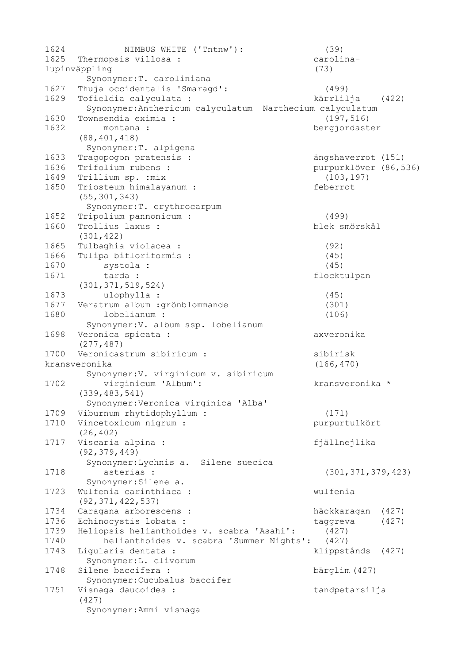| 1624 | NIMBUS WHITE ('Tntnw'):                                  | (39)                  |       |
|------|----------------------------------------------------------|-----------------------|-------|
| 1625 | Thermopsis villosa :                                     | carolina-             |       |
|      | lupinväppling                                            | (73)                  |       |
|      | Synonymer: T. caroliniana                                |                       |       |
| 1627 | Thuja occidentalis 'Smaragd':                            | (499)                 |       |
| 1629 | Tofieldia calyculata :                                   | kärrlilja (422)       |       |
|      | Synonymer: Anthericum calyculatum Narthecium calyculatum |                       |       |
| 1630 | Townsendia eximia :                                      | (197, 516)            |       |
| 1632 | montana :                                                | bergjordaster         |       |
|      | (88, 401, 418)                                           |                       |       |
|      | Synonymer: T. alpigena                                   |                       |       |
| 1633 | Tragopogon pratensis :                                   | ängshaverrot (151)    |       |
| 1636 | Trifolium rubens :                                       | purpurklöver (86,536) |       |
| 1649 | Trillium sp. : mix                                       | (103, 197)            |       |
| 1650 | Triosteum himalayanum :                                  | feberrot              |       |
|      | (55, 301, 343)                                           |                       |       |
|      | Synonymer: T. erythrocarpum                              |                       |       |
| 1652 | Tripolium pannonicum :                                   | (499)                 |       |
| 1660 | Trollius laxus :                                         | blek smörskål         |       |
|      | (301, 422)                                               |                       |       |
| 1665 | Tulbaghia violacea :                                     | (92)                  |       |
| 1666 | Tulipa bifloriformis :                                   | (45)                  |       |
| 1670 | systola :                                                | (45)                  |       |
| 1671 | tarda :                                                  | flocktulpan           |       |
|      | (301, 371, 519, 524)                                     |                       |       |
| 1673 | ulophylla :                                              | (45)                  |       |
| 1677 | Veratrum album : grönblommande                           | (301)                 |       |
| 1680 | lobelianum :                                             | (106)                 |       |
|      | Synonymer: V. album ssp. lobelianum                      |                       |       |
| 1698 | Veronica spicata :                                       | axveronika            |       |
|      | (277, 487)                                               |                       |       |
| 1700 | Veronicastrum sibiricum :                                | sibirisk              |       |
|      | kransveronika                                            | (166, 470)            |       |
|      | Synonymer: V. virginicum v. sibiricum                    |                       |       |
| 1702 | virginicum 'Album':                                      | kransveronika *       |       |
|      | (339, 483, 541)                                          |                       |       |
|      | Synonymer: Veronica virginica 'Alba'                     |                       |       |
| 1709 | Viburnum rhytidophyllum :                                | (171)                 |       |
| 1710 | Vincetoxicum nigrum :                                    | purpurtulkört         |       |
|      | (26, 402)                                                |                       |       |
| 1717 | Viscaria alpina :                                        | fjällnejlika          |       |
|      | (92, 379, 449)                                           |                       |       |
|      | Synonymer: Lychnis a. Silene suecica                     |                       |       |
| 1718 | asterias :                                               | (301, 371, 379, 423)  |       |
|      | Synonymer: Silene a.                                     |                       |       |
| 1723 | Wulfenia carinthiaca :                                   | wulfenia              |       |
|      | (92, 371, 422, 537)                                      |                       |       |
| 1734 | Caragana arborescens :                                   | häckkaragan           | (427) |
| 1736 | Echinocystis lobata :                                    | taggreva              | (427) |
| 1739 | Heliopsis helianthoides v. scabra 'Asahi':               | (427)                 |       |
| 1740 | helianthoides v. scabra 'Summer Nights':                 | (427)                 |       |
| 1743 | Ligularia dentata :                                      | klippstånds           | (427) |
|      | Synonymer: L. clivorum                                   |                       |       |
| 1748 | Silene baccifera :                                       | bärglim (427)         |       |
|      | Synonymer: Cucubalus baccifer                            |                       |       |
| 1751 | Visnaga daucoides :                                      | tandpetarsilja        |       |
|      | (427)                                                    |                       |       |
|      | Synonymer: Ammi visnaga                                  |                       |       |
|      |                                                          |                       |       |